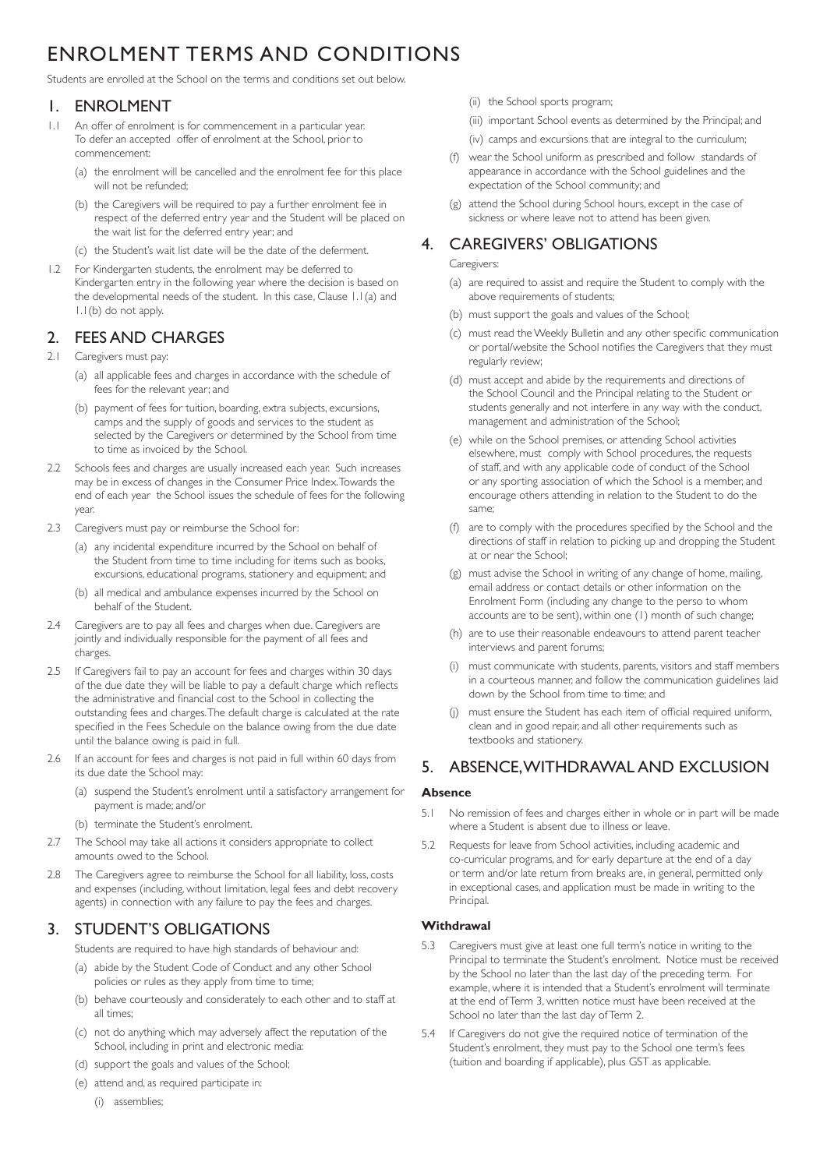# ENROLMENT TERMS AND CONDITIONS

Students are enrolled at the School on the terms and conditions set out below.

### 1. ENROLMENT

- 1.1 An offer of enrolment is for commencement in a particular year. To defer an accepted offer of enrolment at the School, prior to commencement:
	- (a) the enrolment will be cancelled and the enrolment fee for this place will not be refunded;
	- (b) the Caregivers will be required to pay a further enrolment fee in respect of the deferred entry year and the Student will be placed on the wait list for the deferred entry year; and
	- (c) the Student's wait list date will be the date of the deferment.
- 1.2 For Kindergarten students, the enrolment may be deferred to Kindergarten entry in the following year where the decision is based on the developmental needs of the student. In this case, Clause 1.1(a) and 1.1(b) do not apply.

# 2. FEES AND CHARGES

- 2.1 Caregivers must pay:
	- (a) all applicable fees and charges in accordance with the schedule of fees for the relevant year; and
	- (b) payment of fees for tuition, boarding, extra subjects, excursions, camps and the supply of goods and services to the student as selected by the Caregivers or determined by the School from time to time as invoiced by the School.
- 2.2 Schools fees and charges are usually increased each year. Such increases may be in excess of changes in the Consumer Price Index. Towards the end of each year the School issues the schedule of fees for the following year.
- 2.3 Caregivers must pay or reimburse the School for:
	- (a) any incidental expenditure incurred by the School on behalf of the Student from time to time including for items such as books, excursions, educational programs, stationery and equipment; and
	- (b) all medical and ambulance expenses incurred by the School on behalf of the Student.
- 2.4 Caregivers are to pay all fees and charges when due. Caregivers are jointly and individually responsible for the payment of all fees and charges.
- 2.5 If Caregivers fail to pay an account for fees and charges within 30 days of the due date they will be liable to pay a default charge which reflects the administrative and financial cost to the School in collecting the outstanding fees and charges. The default charge is calculated at the rate specified in the Fees Schedule on the balance owing from the due date until the balance owing is paid in full.
- 2.6 If an account for fees and charges is not paid in full within 60 days from its due date the School may:
	- (a) suspend the Student's enrolment until a satisfactory arrangement for payment is made; and/or
	- (b) terminate the Student's enrolment.
- 2.7 The School may take all actions it considers appropriate to collect amounts owed to the School.
- 2.8 The Caregivers agree to reimburse the School for all liability, loss, costs and expenses (including, without limitation, legal fees and debt recovery agents) in connection with any failure to pay the fees and charges.

# 3. STUDENT'S OBLIGATIONS

Students are required to have high standards of behaviour and:

- (a) abide by the Student Code of Conduct and any other School policies or rules as they apply from time to time;
- (b) behave courteously and considerately to each other and to staff at all times;
- (c) not do anything which may adversely affect the reputation of the School, including in print and electronic media:
- (d) support the goals and values of the School;
- (e) attend and, as required participate in:
	- (i) assemblies;
- (ii) the School sports program;
- (iii) important School events as determined by the Principal; and
- (iv) camps and excursions that are integral to the curriculum;
- (f) wear the School uniform as prescribed and follow standards of appearance in accordance with the School guidelines and the expectation of the School community; and
- (g) attend the School during School hours, except in the case of sickness or where leave not to attend has been given.

### 4. CAREGIVERS' OBLIGATIONS

#### Caregivers:

- (a) are required to assist and require the Student to comply with the above requirements of students;
- (b) must support the goals and values of the School;
- (c) must read the Weekly Bulletin and any other specific communication or portal/website the School notifies the Caregivers that they must regularly review;
- (d) must accept and abide by the requirements and directions of the School Council and the Principal relating to the Student or students generally and not interfere in any way with the conduct, management and administration of the School;
- (e) while on the School premises, or attending School activities elsewhere, must comply with School procedures, the requests of staff, and with any applicable code of conduct of the School or any sporting association of which the School is a member, and encourage others attending in relation to the Student to do the same;
- $(f)$  are to comply with the procedures specified by the School and the directions of staff in relation to picking up and dropping the Student at or near the School;
- (g) must advise the School in writing of any change of home, mailing, email address or contact details or other information on the Enrolment Form (including any change to the perso to whom accounts are to be sent), within one (1) month of such change;
- (h) are to use their reasonable endeavours to attend parent teacher interviews and parent forums;
- must communicate with students, parents, visitors and staff members in a courteous manner, and follow the communication guidelines laid down by the School from time to time; and
- must ensure the Student has each item of official required uniform, clean and in good repair, and all other requirements such as textbooks and stationery.

# 5. ABSENCE, WITHDRAWAL AND EXCLUSION

#### **Absence**

- 5.1 No remission of fees and charges either in whole or in part will be made where a Student is absent due to illness or leave.
- 5.2 Requests for leave from School activities, including academic and co-curricular programs, and for early departure at the end of a day or term and/or late return from breaks are, in general, permitted only in exceptional cases, and application must be made in writing to the Principal.

#### **Withdrawal**

- 5.3 Caregivers must give at least one full term's notice in writing to the Principal to terminate the Student's enrolment. Notice must be received by the School no later than the last day of the preceding term. For example, where it is intended that a Student's enrolment will terminate at the end of Term 3, written notice must have been received at the School no later than the last day of Term 2.
- 5.4 If Caregivers do not give the required notice of termination of the Student's enrolment, they must pay to the School one term's fees (tuition and boarding if applicable), plus GST as applicable.